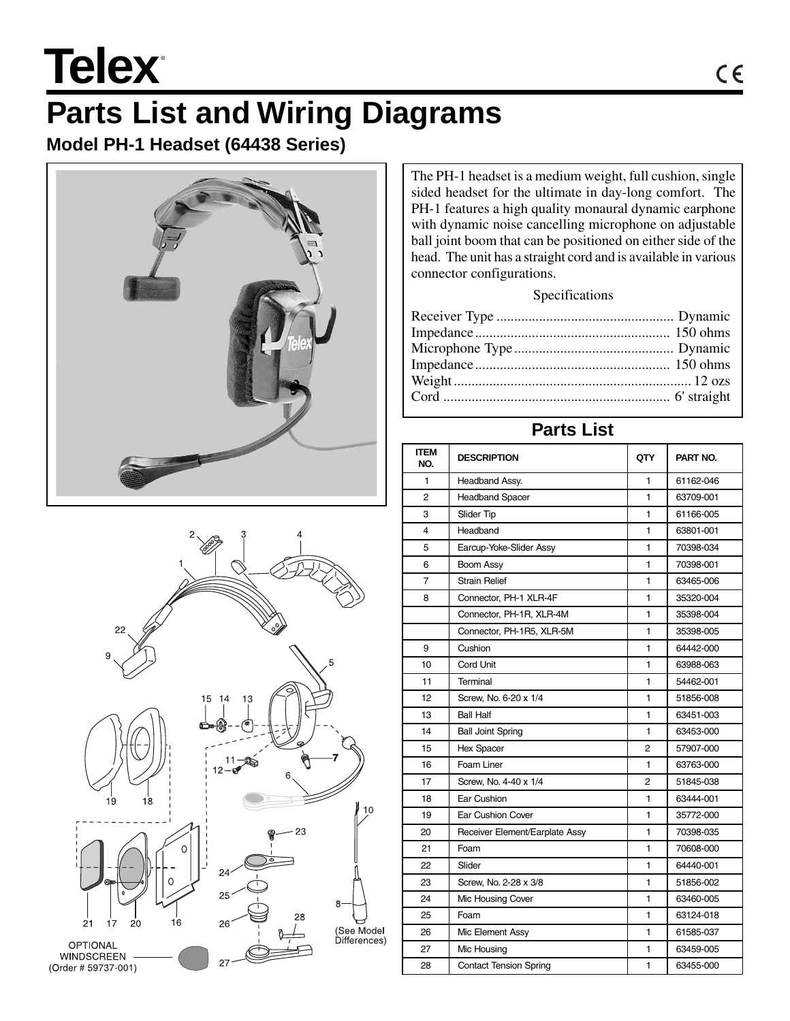# Telex<sup>®</sup>

# **Parts List and Wiring Diagrams**

**Model PH-1 Headset (64438 Series)**





The PH-1 headset is a medium weight, full cushion, single sided headset for the ultimate in day-long comfort. The PH-1 features a high quality monaural dynamic earphone with dynamic noise cancelling microphone on adjustable ball joint boom that can be positioned on either side of the head. The unit has a straight cord and is available in various connector configurations.

#### Specifications

### **Parts List**

| ITEM<br>NO. | <b>DESCRIPTION</b>             | QTY            | PART NO.  |
|-------------|--------------------------------|----------------|-----------|
| 1           | <b>Headband Assy.</b>          | 1              | 61162-046 |
| 2           | <b>Headband Spacer</b>         | 1              | 63709-001 |
| 3           | Slider Tip                     | 1              | 61166-005 |
| 4           | Headband                       | 1              | 63801-001 |
| 5           | Earcup-Yoke-Slider Assy        | 1              | 70398-034 |
| 6           | Boom Assy                      | 1              | 70398-001 |
| 7           | <b>Strain Relief</b>           | 1              | 63465-006 |
| 8           | Connector, PH-1 XLR-4F         | 1              | 35320-004 |
|             | Connector, PH-1R, XLR-4M       | 1              | 35398-004 |
|             | Connector, PH-1R5, XLR-5M      | 1              | 35398-005 |
| 9           | Cushion                        | 1              | 64442-000 |
| 10          | Cord Unit                      | 1              | 63988-063 |
| 11          | Terminal                       | 1              | 54462-001 |
| 12          | Screw, No. 6-20 x 1/4          | 1              | 51856-008 |
| 13          | <b>Ball Half</b>               | 1              | 63451-003 |
| 14          | <b>Ball Joint Spring</b>       | 1              | 63453-000 |
| 15          | Hex Spacer                     | $\overline{2}$ | 57907-000 |
| 16          | Foam Liner                     | 1              | 63763-000 |
| 17          | Screw, No. 4-40 x 1/4          | 2              | 51845-038 |
| 18          | Ear Cushion                    | 1              | 63444-001 |
| 19          | <b>Ear Cushion Cover</b>       | 1              | 35772-000 |
| 20          | Receiver Element/Earplate Assy | 1              | 70398-035 |
| 21          | Foam                           | 1              | 70608-000 |
| 22          | Slider                         | 1              | 64440-001 |
| 23          | Screw, No. 2-28 x 3/8          | 1              | 51856-002 |
| 24          | Mic Housing Cover              | 1              | 63460-005 |
| 25          | Foam                           | 1              | 63124-018 |
| 26          | Mic Element Assy               | 1              | 61585-037 |
| 27          | Mic Housing                    | 1              | 63459-005 |
| 28          | <b>Contact Tension Spring</b>  | 1              | 63455-000 |